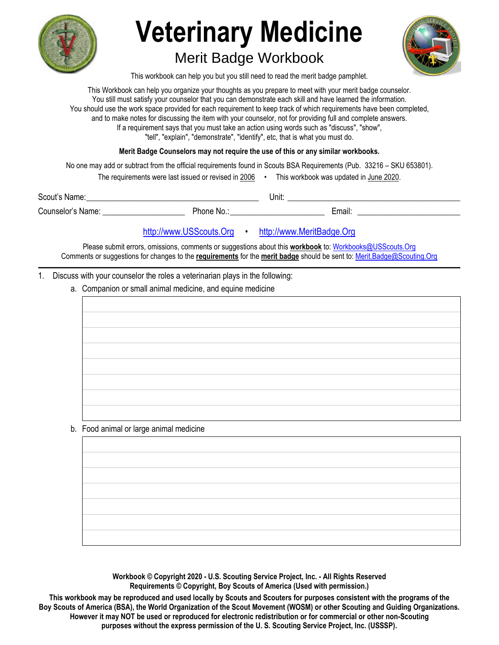

# **Veterinary Medicine**  Merit Badge Workbook

This workbook can help you but you still need to read the merit badge pamphlet.

This Workbook can help you organize your thoughts as you prepare to meet with your merit badge counselor. You still must satisfy your counselor that you can demonstrate each skill and have learned the information. You should use the work space provided for each requirement to keep track of which requirements have been completed, and to make notes for discussing the item with your counselor, not for providing full and complete answers. If a requirement says that you must take an action using words such as "discuss", "show", "tell", "explain", "demonstrate", "identify", etc, that is what you must do.

**Merit Badge Counselors may not require the use of this or any similar workbooks.**

No one may add or subtract from the official requirements found in Scouts BSA Requirements (Pub. 33216 – SKU 653801).

| The requirements were last issued or revised in 2006 |  | This workbook was updated in June 2020. |
|------------------------------------------------------|--|-----------------------------------------|
|------------------------------------------------------|--|-----------------------------------------|

Scout's Name: \_\_\_\_\_\_\_\_\_\_\_\_\_\_\_\_\_\_\_\_\_\_\_\_\_\_\_\_\_\_\_\_\_\_\_\_\_\_\_\_\_\_ Unit: \_\_\_\_\_\_\_\_\_\_\_\_\_\_\_\_\_\_\_\_\_\_\_\_\_\_\_\_\_\_\_\_\_\_\_\_\_\_\_\_\_\_ Counselor's Name: \_\_\_\_\_\_\_\_\_\_\_\_\_\_\_\_\_\_\_\_ Phone No.: \_\_\_\_\_\_\_\_\_\_\_\_\_\_\_\_\_\_\_\_\_\_\_ Email: \_\_\_\_\_\_\_\_\_\_\_\_\_\_\_\_\_\_\_\_\_\_\_\_\_

# http://www.USScouts.Org • http://www.MeritBadge.Org

Please submit errors, omissions, comments or suggestions about this **workbook** to: Workbooks@USScouts.Org Comments or suggestions for changes to the **requirements** for the **merit badge** should be sent to: Merit.Badge@Scouting.Org *\_\_\_\_\_\_\_\_\_\_\_\_\_\_\_\_\_\_\_\_\_\_\_\_\_\_\_\_\_\_\_\_\_\_\_\_\_\_\_\_\_\_\_\_\_\_\_\_\_\_\_\_\_\_\_\_\_\_\_\_\_\_\_\_\_\_\_\_\_\_\_\_\_\_\_\_\_\_\_\_\_\_\_\_\_\_\_\_\_\_\_\_\_\_\_\_\_\_\_\_\_\_\_\_\_\_\_\_\_\_\_\_\_\_\_\_\_\_\_\_\_\_\_\_\_\_\_\_\_\_\_\_\_\_\_\_\_\_\_\_\_\_* 

1. Discuss with your counselor the roles a veterinarian plays in the following:

a. Companion or small animal medicine, and equine medicine

b. Food animal or large animal medicine

**Workbook © Copyright 2020 - U.S. Scouting Service Project, Inc. - All Rights Reserved Requirements © Copyright, Boy Scouts of America (Used with permission.)** 

**This workbook may be reproduced and used locally by Scouts and Scouters for purposes consistent with the programs of the Boy Scouts of America (BSA), the World Organization of the Scout Movement (WOSM) or other Scouting and Guiding Organizations. However it may NOT be used or reproduced for electronic redistribution or for commercial or other non-Scouting purposes without the express permission of the U. S. Scouting Service Project, Inc. (USSSP).**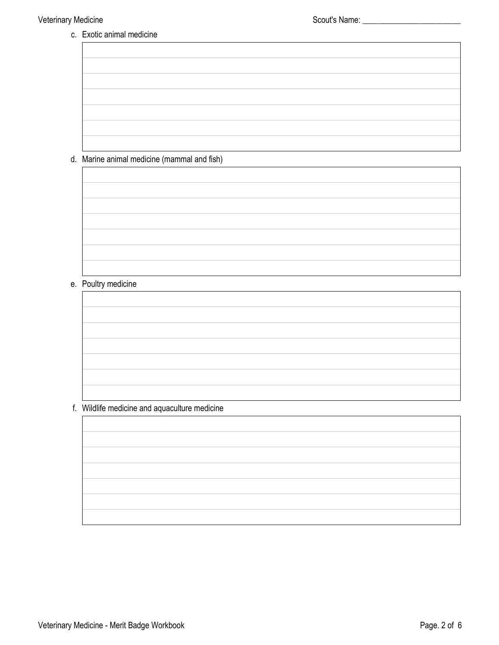c. Exotic animal medicine

d. Marine animal medicine (mammal and fish)

# e. Poultry medicine

## f. Wildlife medicine and aquaculture medicine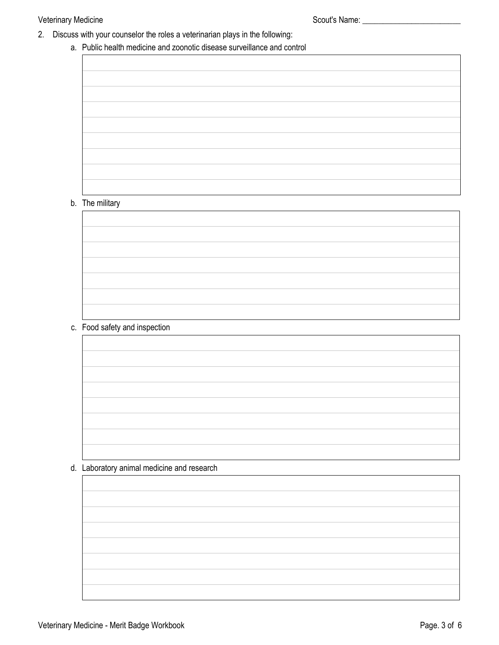## Veterinary Medicine **Scout's Name:** Scout's Name: \_\_\_\_\_\_\_\_\_\_\_\_\_\_\_\_\_\_\_\_\_\_\_\_\_\_\_\_\_\_\_

- 2. Discuss with your counselor the roles a veterinarian plays in the following:
	- a. Public health medicine and zoonotic disease surveillance and control

## b. The military

c. Food safety and inspection

d. Laboratory animal medicine and research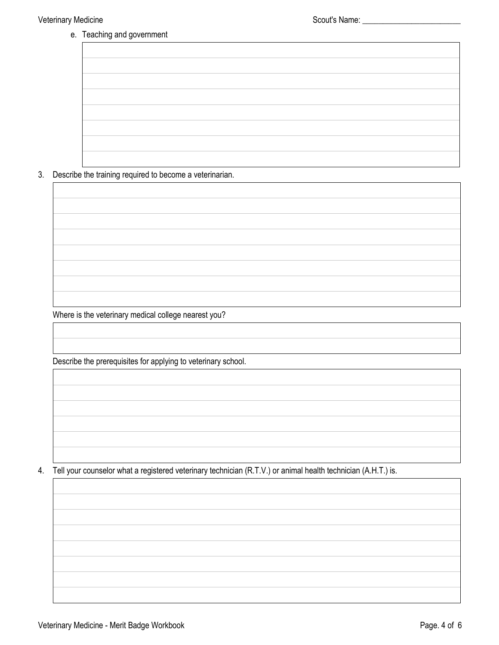e. Teaching and government

3. Describe the training required to become a veterinarian.

Where is the veterinary medical college nearest you?

Describe the prerequisites for applying to veterinary school.

4. Tell your counselor what a registered veterinary technician (R.T.V.) or animal health technician (A.H.T.) is.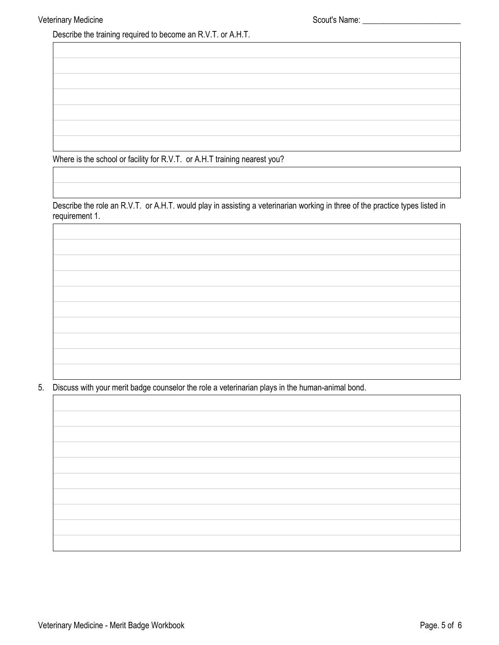Describe the training required to become an R.V.T. or A.H.T.

Where is the school or facility for R.V.T. or A.H.T training nearest you?

Describe the role an R.V.T. or A.H.T. would play in assisting a veterinarian working in three of the practice types listed in requirement 1.

5. Discuss with your merit badge counselor the role a veterinarian plays in the human-animal bond.